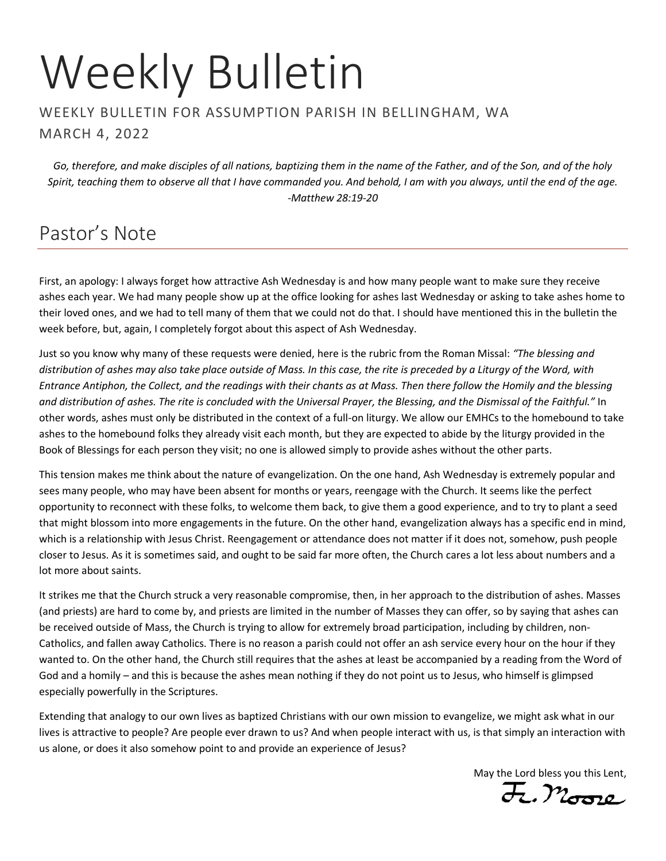# Weekly Bulletin

#### WEEKLY BULLETIN FOR ASSUMPTION PARISH IN BELLINGHAM, WA MARCH 4, 2022

*Go, therefore, and make disciples of all nations, baptizing them in the name of the Father, and of the Son, and of the holy Spirit, teaching them to observe all that I have commanded you. And behold, I am with you always, until the end of the age. -Matthew 28:19-20*

## Pastor's Note

First, an apology: I always forget how attractive Ash Wednesday is and how many people want to make sure they receive ashes each year. We had many people show up at the office looking for ashes last Wednesday or asking to take ashes home to their loved ones, and we had to tell many of them that we could not do that. I should have mentioned this in the bulletin the week before, but, again, I completely forgot about this aspect of Ash Wednesday.

Just so you know why many of these requests were denied, here is the rubric from the Roman Missal: *"The blessing and distribution of ashes may also take place outside of Mass. In this case, the rite is preceded by a Liturgy of the Word, with Entrance Antiphon, the Collect, and the readings with their chants as at Mass. Then there follow the Homily and the blessing and distribution of ashes. The rite is concluded with the Universal Prayer, the Blessing, and the Dismissal of the Faithful."* In other words, ashes must only be distributed in the context of a full-on liturgy. We allow our EMHCs to the homebound to take ashes to the homebound folks they already visit each month, but they are expected to abide by the liturgy provided in the Book of Blessings for each person they visit; no one is allowed simply to provide ashes without the other parts.

This tension makes me think about the nature of evangelization. On the one hand, Ash Wednesday is extremely popular and sees many people, who may have been absent for months or years, reengage with the Church. It seems like the perfect opportunity to reconnect with these folks, to welcome them back, to give them a good experience, and to try to plant a seed that might blossom into more engagements in the future. On the other hand, evangelization always has a specific end in mind, which is a relationship with Jesus Christ. Reengagement or attendance does not matter if it does not, somehow, push people closer to Jesus. As it is sometimes said, and ought to be said far more often, the Church cares a lot less about numbers and a lot more about saints.

It strikes me that the Church struck a very reasonable compromise, then, in her approach to the distribution of ashes. Masses (and priests) are hard to come by, and priests are limited in the number of Masses they can offer, so by saying that ashes can be received outside of Mass, the Church is trying to allow for extremely broad participation, including by children, non-Catholics, and fallen away Catholics. There is no reason a parish could not offer an ash service every hour on the hour if they wanted to. On the other hand, the Church still requires that the ashes at least be accompanied by a reading from the Word of God and a homily – and this is because the ashes mean nothing if they do not point us to Jesus, who himself is glimpsed especially powerfully in the Scriptures.

Extending that analogy to our own lives as baptized Christians with our own mission to evangelize, we might ask what in our lives is attractive to people? Are people ever drawn to us? And when people interact with us, is that simply an interaction with us alone, or does it also somehow point to and provide an experience of Jesus?

May the Lord bless you this Lent,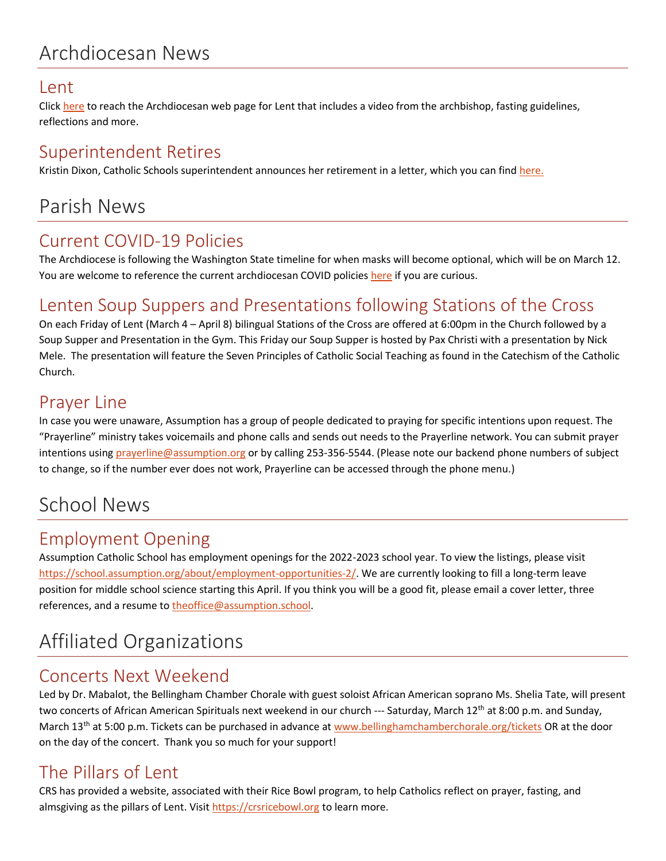## Archdiocesan News

#### Lent

Click [here](http://archseattle.org/lent) to reach the Archdiocesan web page for Lent that includes a video from the archbishop, fasting guidelines, reflections and more.

## Superintendent Retires

Kristin Dixon, Catholic Schools superintendent announces her retirement in a letter, which you can fin[d here.](https://seattlearch.app.box.com/s/coyacvvw4rgirk6xlqvjhkt58y8wf8zk)

## Parish News

## Current COVID-19 Policies

The Archdiocese is following the Washington State timeline for when masks will become optional, which will be on March 12. You are welcome to reference the current archdiocesan COVID policies [here](https://mailchi.mp/seattlearch.org/prayer-card-about-virus-from-archbishop-1992634?e=c146dbe754) if you are curious.

## Lenten Soup Suppers and Presentations following Stations of the Cross

On each Friday of Lent (March 4 – April 8) bilingual Stations of the Cross are offered at 6:00pm in the Church followed by a Soup Supper and Presentation in the Gym. This Friday our Soup Supper is hosted by Pax Christi with a presentation by Nick Mele. The presentation will feature the Seven Principles of Catholic Social Teaching as found in the Catechism of the Catholic Church.

## Prayer Line

In case you were unaware, Assumption has a group of people dedicated to praying for specific intentions upon request. The "Prayerline" ministry takes voicemails and phone calls and sends out needs to the Prayerline network. You can submit prayer intentions usin[g prayerline@assumption.org](mailto:prayerline@assumption.org) or by calling 253-356-5544. (Please note our backend phone numbers of subject to change, so if the number ever does not work, Prayerline can be accessed through the phone menu.)

## School News

## Employment Opening

Assumption Catholic School has employment openings for the 2022-2023 school year. To view the listings, please visit [https://school.assumption.org/about/employment-opportunities-2/.](https://school.assumption.org/about/employment-opportunities-2/) We are currently looking to fill a long-term leave position for middle school science starting this April. If you think you will be a good fit, please email a cover letter, three references, and a resume t[o theoffice@assumption.school.](mailto:theoffice@assumption.school)

## Affiliated Organizations

### Concerts Next Weekend

Led by Dr. Mabalot, the Bellingham Chamber Chorale with guest soloist African American soprano Ms. Shelia Tate, will present two concerts of African American Spirituals next weekend in our church --- Saturday, March 12<sup>th</sup> at 8:00 p.m. and Sunday, March 13<sup>th</sup> at 5:00 p.m. Tickets can be purchased in advance at [www.bellinghamchamberchorale.org/tickets](http://www.bellinghamchamberchorale.org/tickets) OR at the door on the day of the concert. Thank you so much for your support!

## The Pillars of Lent

CRS has provided a website, associated with their Rice Bowl program, to help Catholics reflect on prayer, fasting, and almsgiving as the pillars of Lent. Visit [https://crsricebowl.org](https://crsricebowl.org/) to learn more.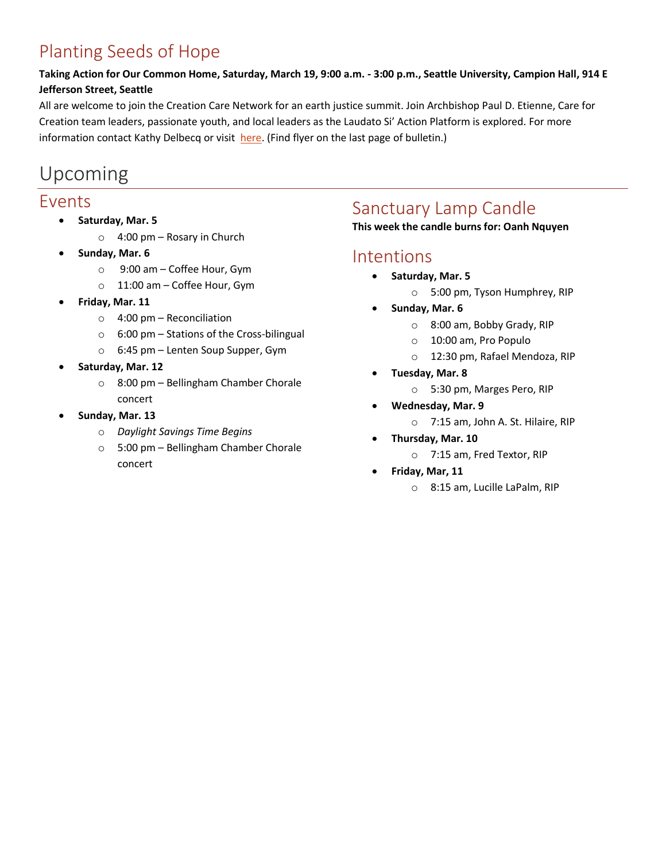## Planting Seeds of Hope

#### **Taking Action for Our Common Home, Saturday, March 19, 9:00 a.m. - 3:00 p.m., Seattle University, Campion Hall, 914 E Jefferson Street, Seattle**

All are welcome to join the Creation Care Network for an earth justice summit. Join Archbishop Paul D. Etienne, Care for Creation team leaders, passionate youth, and local leaders as the Laudato Si' Action Platform is explored. For more information contact Kathy Delbecq or visit [here.](https://www.ipjc.org/planting-seeds-of-hope-registration/) (Find flyer on the last page of bulletin.)

## Upcoming

#### Events

- **Saturday, Mar. 5**
	- $\circ$  4:00 pm Rosary in Church
- **Sunday, Mar. 6**
	- o 9:00 am Coffee Hour, Gym
	- o 11:00 am Coffee Hour, Gym
- **Friday, Mar. 11**
	- $\circ$  4:00 pm Reconciliation
	- o 6:00 pm Stations of the Cross-bilingual
	- o 6:45 pm Lenten Soup Supper, Gym
- **Saturday, Mar. 12**
	- o 8:00 pm Bellingham Chamber Chorale concert
- **Sunday, Mar. 13**
	- o *Daylight Savings Time Begins*
	- o 5:00 pm Bellingham Chamber Chorale concert

## Sanctuary Lamp Candle

**This week the candle burns for: Oanh Nquyen**

#### Intentions

- **Saturday, Mar. 5**
	- o 5:00 pm, Tyson Humphrey, RIP
- **Sunday, Mar. 6**
	- o 8:00 am, Bobby Grady, RIP
	- o 10:00 am, Pro Populo
	- o 12:30 pm, Rafael Mendoza, RIP
- **Tuesday, Mar. 8**
	- o 5:30 pm, Marges Pero, RIP
- **Wednesday, Mar. 9**
	- o 7:15 am, John A. St. Hilaire, RIP
- **Thursday, Mar. 10**
	- o 7:15 am, Fred Textor, RIP
- **Friday, Mar, 11**
	- o 8:15 am, Lucille LaPalm, RIP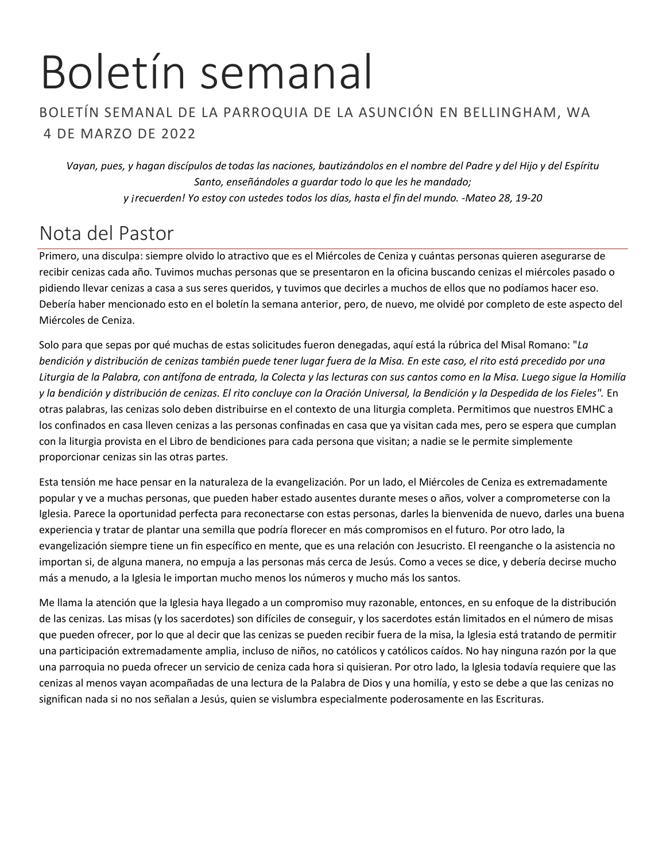## Boletín semanal

#### BOLETÍN SEMANAL DE LA PARROQUIA DE LA ASUNCIÓN EN BELLINGHAM, WA 4 DE MARZO DE 2022

*Vayan, pues, y hagan discípulos de todas las naciones, bautizándolos en el nombre del Padre y del Hijo y del Espíritu Santo, enseñándoles a guardar todo lo que les he mandado; y ¡recuerden! Yo estoy con ustedes todos los días, hasta el fin del mundo. -Mateo 28, 19-20*

## Nota del Pastor

Primero, una disculpa: siempre olvido lo atractivo que es el Miércoles de Ceniza y cuántas personas quieren asegurarse de recibir cenizas cada año. Tuvimos muchas personas que se presentaron en la oficina buscando cenizas el miércoles pasado o pidiendo llevar cenizas a casa a sus seres queridos, y tuvimos que decirles a muchos de ellos que no podíamos hacer eso. Debería haber mencionado esto en el boletín la semana anterior, pero, de nuevo, me olvidé por completo de este aspecto del Miércoles de Ceniza.

Solo para que sepas por qué muchas de estas solicitudes fueron denegadas, aquí está la rúbrica del Misal Romano: "*La bendición y distribución de cenizas también puede tener lugar fuera de la Misa. En este caso, el rito está precedido por una Liturgia de la Palabra, con antífona de entrada, la Colecta y las lecturas con sus cantos como en la Misa. Luego sigue la Homilía y la bendición y distribución de cenizas. El rito concluye con la Oración Universal, la Bendición y la Despedida de los Fieles".* En otras palabras, las cenizas solo deben distribuirse en el contexto de una liturgia completa. Permitimos que nuestros EMHC a los confinados en casa lleven cenizas a las personas confinadas en casa que ya visitan cada mes, pero se espera que cumplan con la liturgia provista en el Libro de bendiciones para cada persona que visitan; a nadie se le permite simplemente proporcionar cenizas sin las otras partes.

Esta tensión me hace pensar en la naturaleza de la evangelización. Por un lado, el Miércoles de Ceniza es extremadamente popular y ve a muchas personas, que pueden haber estado ausentes durante meses o años, volver a comprometerse con la Iglesia. Parece la oportunidad perfecta para reconectarse con estas personas, darles la bienvenida de nuevo, darles una buena experiencia y tratar de plantar una semilla que podría florecer en más compromisos en el futuro. Por otro lado, la evangelización siempre tiene un fin específico en mente, que es una relación con Jesucristo. El reenganche o la asistencia no importan si, de alguna manera, no empuja a las personas más cerca de Jesús. Como a veces se dice, y debería decirse mucho más a menudo, a la Iglesia le importan mucho menos los números y mucho más los santos.

Me llama la atención que la Iglesia haya llegado a un compromiso muy razonable, entonces, en su enfoque de la distribución de las cenizas. Las misas (y los sacerdotes) son difíciles de conseguir, y los sacerdotes están limitados en el número de misas que pueden ofrecer, por lo que al decir que las cenizas se pueden recibir fuera de la misa, la Iglesia está tratando de permitir una participación extremadamente amplia, incluso de niños, no católicos y católicos caídos. No hay ninguna razón por la que una parroquia no pueda ofrecer un servicio de ceniza cada hora si quisieran. Por otro lado, la Iglesia todavía requiere que las cenizas al menos vayan acompañadas de una lectura de la Palabra de Dios y una homilía, y esto se debe a que las cenizas no significan nada si no nos señalan a Jesús, quien se vislumbra especialmente poderosamente en las Escrituras.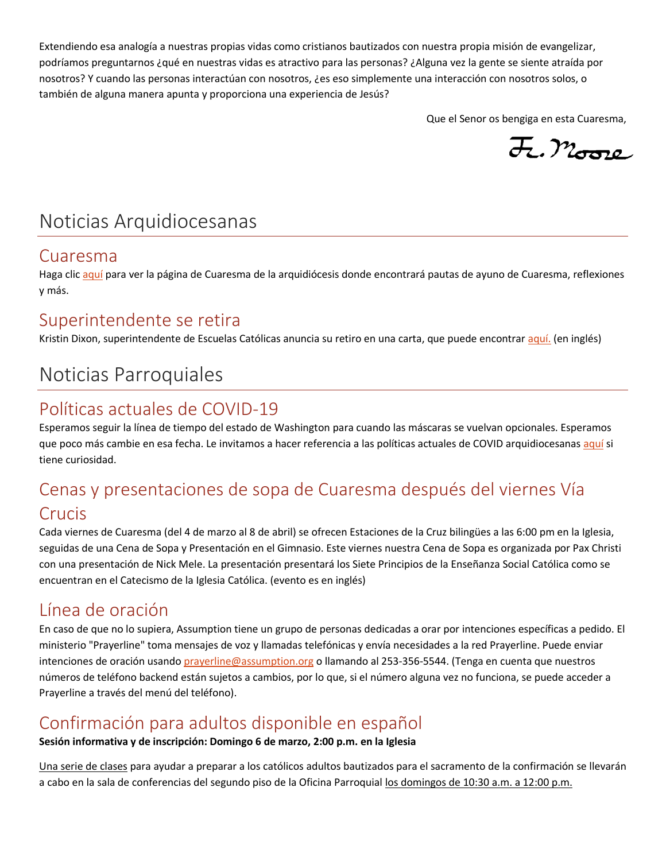Extendiendo esa analogía a nuestras propias vidas como cristianos bautizados con nuestra propia misión de evangelizar, podríamos preguntarnos ¿qué en nuestras vidas es atractivo para las personas? ¿Alguna vez la gente se siente atraída por nosotros? Y cuando las personas interactúan con nosotros, ¿es eso simplemente una interacción con nosotros solos, o también de alguna manera apunta y proporciona una experiencia de Jesús?

Que el Senor os bengiga en esta Cuaresma,

F. Moore

## Noticias Arquidiocesanas

#### Cuaresma

Haga clic [aquí](https://archseattle.org/cuaresma-2021-inspiracion-y-recursos/?lang=es) para ver la página de Cuaresma de la arquidiócesis donde encontrará pautas de ayuno de Cuaresma, reflexiones y más.

#### Superintendente se retira

Kristin Dixon, superintendente de Escuelas Católicas anuncia su retiro en una carta, que puede encontra[r aquí.](https://seattlearch.app.box.com/s/coyacvvw4rgirk6xlqvjhkt58y8wf8zk) (en inglés)

## Noticias Parroquiales

## Políticas actuales de COVID-19

Esperamos seguir la línea de tiempo del estado de Washington para cuando las máscaras se vuelvan opcionales. Esperamos que poco más cambie en esa fecha. Le invitamos a hacer referencia a las políticas actuales de COVID arquidiocesana[s aquí](https://us9-campaign--archive-com.translate.goog/?u=43fc28da81c0c27a6b0cd8944&id=2f67ff0d53&e=c146dbe754&_x_tr_sl=auto&_x_tr_tl=es&_x_tr_hl=auto) si tiene curiosidad.

## Cenas y presentaciones de sopa de Cuaresma después del viernes Vía Crucis

Cada viernes de Cuaresma (del 4 de marzo al 8 de abril) se ofrecen Estaciones de la Cruz bilingües a las 6:00 pm en la Iglesia, seguidas de una Cena de Sopa y Presentación en el Gimnasio. Este viernes nuestra Cena de Sopa es organizada por Pax Christi con una presentación de Nick Mele. La presentación presentará los Siete Principios de la Enseñanza Social Católica como se encuentran en el Catecismo de la Iglesia Católica. (evento es en inglés)

## Línea de oración

En caso de que no lo supiera, Assumption tiene un grupo de personas dedicadas a orar por intenciones específicas a pedido. El ministerio "Prayerline" toma mensajes de voz y llamadas telefónicas y envía necesidades a la red Prayerline. Puede enviar intenciones de oración usando [prayerline@assumption.org](mailto:prayerline@assumption.org) o llamando al 253-356-5544. (Tenga en cuenta que nuestros números de teléfono backend están sujetos a cambios, por lo que, si el número alguna vez no funciona, se puede acceder a Prayerline a través del menú del teléfono).

## Confirmación para adultos disponible en español

#### **Sesión informativa y de inscripción: Domingo 6 de marzo, 2:00 p.m. en la Iglesia**

Una serie de clases para ayudar a preparar a los católicos adultos bautizados para el sacramento de la confirmación se llevarán a cabo en la sala de conferencias del segundo piso de la Oficina Parroquial los domingos de 10:30 a.m. a 12:00 p.m.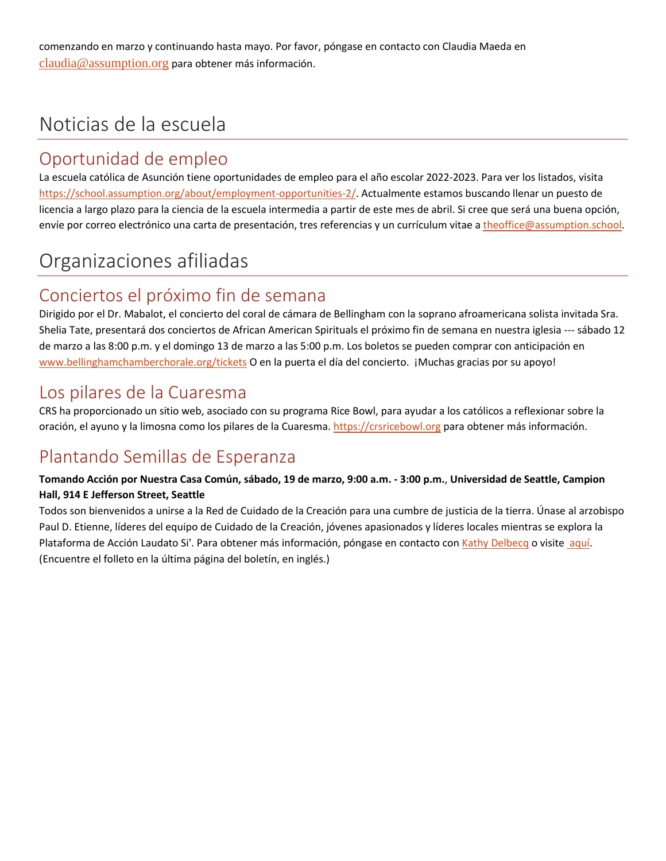comenzando en marzo y continuando hasta mayo. Por favor, póngase en contacto con Claudia Maeda en [claudia@assumption.org](mailto:claudia@assumption.org) para obtener más información.

## Noticias de la escuela

## Oportunidad de empleo

La escuela católica de Asunción tiene oportunidades de empleo para el año escolar 2022-2023. Para ver los listados, visita [https://school.assumption.org/about/employment-opportunities-2/.](https://school.assumption.org/about/employment-opportunities-2/) Actualmente estamos buscando llenar un puesto de licencia a largo plazo para la ciencia de la escuela intermedia a partir de este mes de abril. Si cree que será una buena opción, envíe por correo electrónico una carta de presentación, tres referencias y un currículum vitae [a theoffice@assumption.school.](mailto:theoffice@assumption.school)

## Organizaciones afiliadas

## Conciertos el próximo fin de semana

Dirigido por el Dr. Mabalot, el concierto del coral de cámara de Bellingham con la soprano afroamericana solista invitada Sra. Shelia Tate, presentará dos conciertos de African American Spirituals el próximo fin de semana en nuestra iglesia --- sábado 12 de marzo a las 8:00 p.m. y el domingo 13 de marzo a las 5:00 p.m. Los boletos se pueden comprar con anticipación en [www.bellinghamchamberchorale.org/tickets](http://www.bellinghamchamberchorale.org/tickets) O en la puerta el día del concierto. ¡Muchas gracias por su apoyo!

## Los pilares de la Cuaresma

CRS ha proporcionado un sitio web, asociado con su programa Rice Bowl, para ayudar a los católicos a reflexionar sobre la oración, el ayuno y la limosna como los pilares de la Cuaresma[. https://crsricebowl.org](https://crsricebowl.org/) para obtener más información.

## Plantando Semillas de Esperanza

#### **Tomando Acción por Nuestra Casa Común, sábado, 19 de marzo, 9:00 a.m. - 3:00 p.m.**, **Universidad de Seattle, Campion Hall, 914 E Jefferson Street, Seattle**

Todos son bienvenidos a unirse a la Red de Cuidado de la Creación para una cumbre de justicia de la tierra. Únase al arzobispo Paul D. Etienne, líderes del equipo de Cuidado de la Creación, jóvenes apasionados y líderes locales mientras se explora la Plataforma de Acción Laudato Si'. Para obtener más información, póngase en contacto con [Kathy Delbecq](mailto:rkdelbecq@comcast.net) o visit[e aquí.](https://www.ipjc.org/planting-seeds-of-hope-registration/) (Encuentre el folleto en la última página del boletín, en inglés.)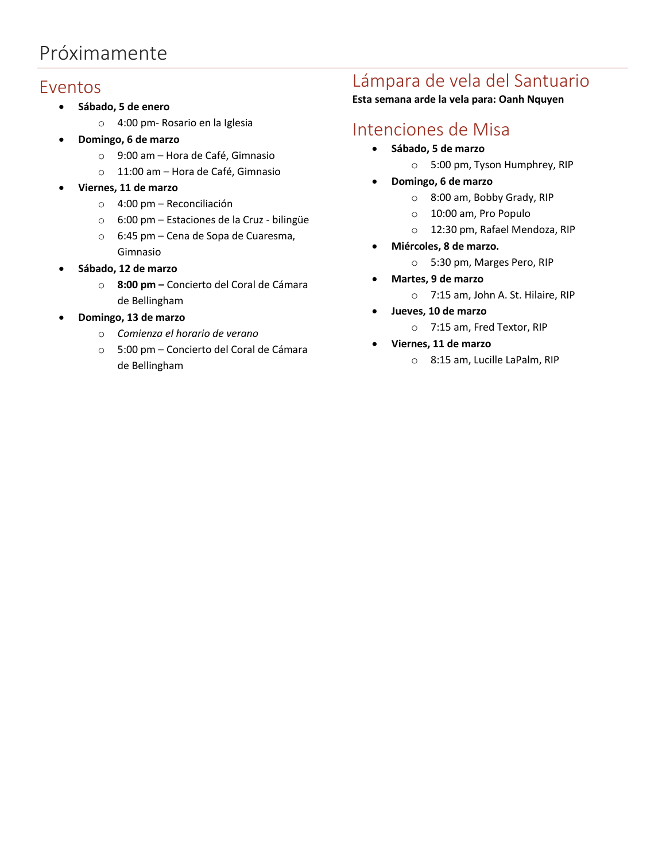## Próximamente

#### Eventos

- **Sábado, 5 de enero**
	- o 4:00 pm- Rosario en la Iglesia
	- **Domingo, 6 de marzo**
		- o 9:00 am Hora de Café, Gimnasio
		- o 11:00 am Hora de Café, Gimnasio
- **Viernes, 11 de marzo**
	- o 4:00 pm Reconciliación
	- o 6:00 pm Estaciones de la Cruz bilingüe
	- o 6:45 pm Cena de Sopa de Cuaresma, Gimnasio
- **Sábado, 12 de marzo**
	- o **8:00 pm –** Concierto del Coral de Cámara de Bellingham
- **Domingo, 13 de marzo**
	- o *Comienza el horario de verano*
	- o 5:00 pm Concierto del Coral de Cámara de Bellingham

## Lámpara de vela del Santuario

**Esta semana arde la vela para: Oanh Nquyen**

## Intenciones de Misa

- **Sábado, 5 de marzo**
	- o 5:00 pm, Tyson Humphrey, RIP
- **Domingo, 6 de marzo**
	- o 8:00 am, Bobby Grady, RIP
	- o 10:00 am, Pro Populo
		- o 12:30 pm, Rafael Mendoza, RIP
	- **Miércoles, 8 de marzo.** 
		- o 5:30 pm, Marges Pero, RIP
- **Martes, 9 de marzo**
	- o 7:15 am, John A. St. Hilaire, RIP
- **Jueves, 10 de marzo**
	- o 7:15 am, Fred Textor, RIP
- **Viernes, 11 de marzo**
	- o 8:15 am, Lucille LaPalm, RIP